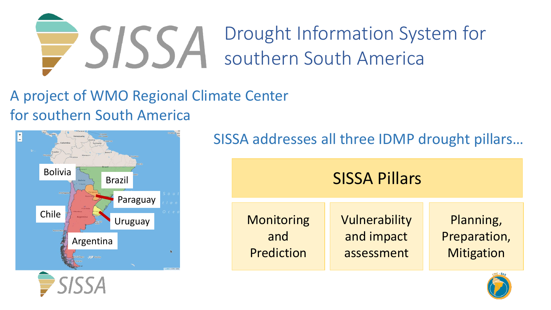

A project of WMO Regional Climate Center for southern South America



SISSA addresses all three IDMP drought pillars…

| <b>SISSA Pillars</b> |               |                   |
|----------------------|---------------|-------------------|
| <b>Monitoring</b>    | Vulnerability | Planning,         |
| and                  | and impact    | Preparation,      |
| Prediction           | assessment    | <b>Mitigation</b> |

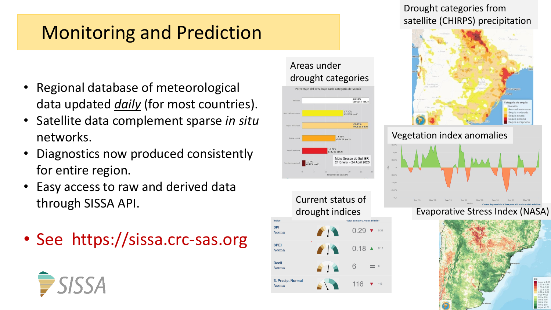# Monitoring and Prediction

- Regional database of meteorological data updated *daily* (for most countries).
- Satellite data complement sparse *in situ*  networks.
- Diagnostics now produced consistently for entire region.
- Easy access to raw and derived data through SISSA API.
- See https://sissa.crc-sas.org

### Areas under drought categories



### Drought categories from satellite (CHIRPS) precipitation



#### Vegetation index anomalies



### Evaporative Stress Index (NASA)



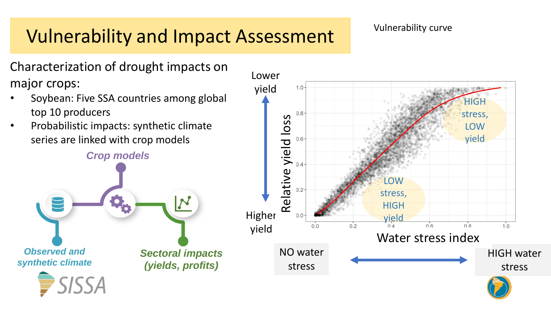# Vulnerability and Impact Assessment

### Vulnerability curve

Characterization of drought impacts on major crops:

- Soybean: Five SSA countries among global top 10 producers
- Probabilistic impacts: synthetic climate series are linked with crop models

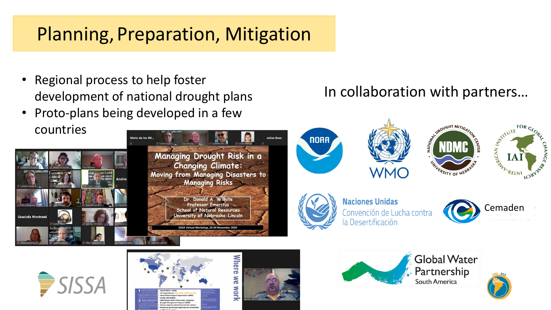# Planning, Preparation, Mitigation

- Regional process to help foster development of national drought plans
- Proto-plans being developed in a few countries



### In collaboration with partners…